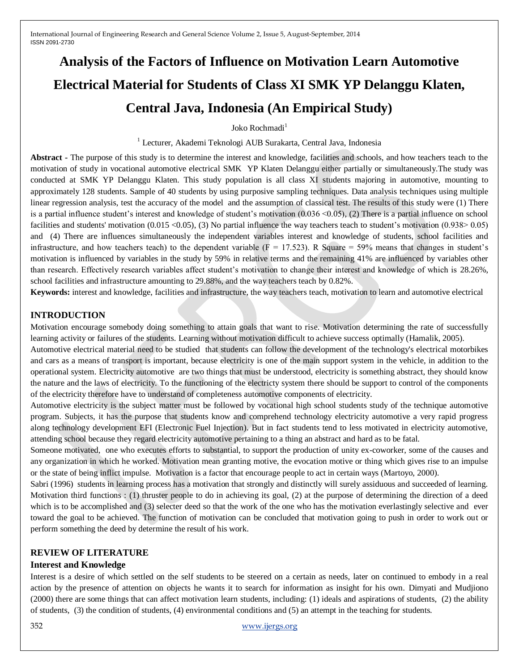# **Analysis of the Factors of Influence on Motivation Learn Automotive Electrical Material for Students of Class XI SMK YP Delanggu Klaten, Central Java, Indonesia (An Empirical Study)**

Joko Rochmadi $<sup>1</sup>$ </sup>

<sup>1</sup> Lecturer, Akademi Teknologi AUB Surakarta, Central Java, Indonesia

**Abstract -** The purpose of this study is to determine the interest and knowledge, facilities and schools, and how teachers teach to the motivation of study in vocational automotive electrical SMK YP Klaten Delanggu either partially or simultaneously.The study was conducted at SMK YP Delanggu Klaten. This study population is all class XI students majoring in automotive, mounting to approximately 128 students. Sample of 40 students by using purposive sampling techniques. Data analysis techniques using multiple linear regression analysis, test the accuracy of the model and the assumption of classical test. The results of this study were (1) There is a partial influence student's interest and knowledge of student's motivation (0.036 <0.05), (2) There is a partial influence on school facilities and students' motivation  $(0.015 \times 0.05)$ , (3) No partial influence the way teachers teach to student's motivation  $(0.938 \times 0.05)$ and (4) There are influences simultaneously the independent variables interest and knowledge of students, school facilities and infrastructure, and how teachers teach) to the dependent variable ( $F = 17.523$ ). R Square = 59% means that changes in student's motivation is influenced by variables in the study by 59% in relative terms and the remaining 41% are influenced by variables other than research. Effectively research variables affect student's motivation to change their interest and knowledge of which is 28.26%, school facilities and infrastructure amounting to 29.88%, and the way teachers teach by 0.82%.

**Keywords:** interest and knowledge, facilities and infrastructure, the way teachers teach, motivation to learn and automotive electrical

#### **INTRODUCTION**

Motivation encourage somebody doing something to attain goals that want to rise. Motivation determining the rate of successfully learning activity or failures of the students. Learning without motivation difficult to achieve success optimally (Hamalik, 2005).

Automotive electrical material need to be studied that students can follow the development of the technology's electrical motorbikes and cars as a means of transport is important, because electricity is one of the main support system in the vehicle, in addition to the operational system. Electricity automotive are two things that must be understood, electricity is something abstract, they should know the nature and the laws of electricity. To the functioning of the electricty system there should be support to control of the components of the electricity therefore have to understand of completeness automotive components of electricity.

Automotive electricity is the subject matter must be followed by vocational high school students study of the technique automotive program. Subjects, it has the purpose that students know and comprehend technology electricity automotive a very rapid progress along technology development EFI (Electronic Fuel Injection). But in fact students tend to less motivated in electricity automotive, attending school because they regard electricity automotive pertaining to a thing an abstract and hard as to be fatal.

Someone motivated, one who executes efforts to substantial, to support the production of unity ex-coworker, some of the causes and any organization in which he worked. Motivation mean granting motive, the evocation motive or thing which gives rise to an impulse or the state of being inflict impulse. Motivation is a factor that encourage people to act in certain ways (Martoyo, 2000).

Sabri (1996) students in learning process has a motivation that strongly and distinctly will surely assiduous and succeeded of learning. Motivation third functions : (1) thruster people to do in achieving its goal, (2) at the purpose of determining the direction of a deed which is to be accomplished and (3) selecter deed so that the work of the one who has the motivation everlastingly selective and ever toward the goal to be achieved. The function of motivation can be concluded that motivation going to push in order to work out or perform something the deed by determine the result of his work.

#### **REVIEW OF LITERATURE**

#### **Interest and Knowledge**

Interest is a desire of which settled on the self students to be steered on a certain as needs, later on continued to embody in a real action by the presence of attention on objects he wants it to search for information as insight for his own. Dimyati and Mudjiono (2000) there are some things that can affect motivation learn students, including: (1) ideals and aspirations of students, (2) the ability of students, (3) the condition of students, (4) environmental conditions and (5) an attempt in the teaching for students.

352 [www.ijergs.org](http://www.ijergs.org/)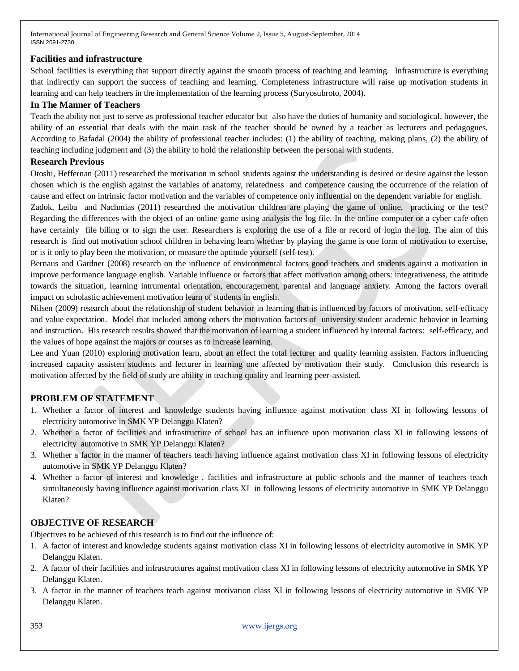## **Facilities and infrastructure**

School facilities is everything that support directly against the smooth process of teaching and learning. Infrastructure is everything that indirectly can support the success of teaching and learning. Completeness infrastructure will raise up motivation students in learning and can help teachers in the implementation of the learning process (Suryosubroto, 2004).

## **In The Manner of Teachers**

Teach the ability not just to serve as professional teacher educator but also have the duties of humanity and sociological, however, the ability of an essential that deals with the main task of the teacher should be owned by a teacher as lecturers and pedagogues. According to Bafadal (2004) the ability of professional teacher includes: (1) the ability of teaching, making plans, (2) the ability of teaching including judgment and (3) the ability to hold the relationship between the personal with students.

## **Research Previous**

Otoshi, Heffernan (2011) researched the motivation in school students against the understanding is desired or desire against the lesson chosen which is the english against the variables of anatomy, relatedness and competence causing the occurrence of the relation of cause and effect on intrinsic factor motivation and the variables of competence only influential on the dependent variable for english.

Zadok, Leiba and Nachmias (2011) researched the motivation children are playing the game of online, practicing or the test? Regarding the differences with the object of an online game using analysis the log file. In the online computer or a cyber cafe often have certainly file biling or to sign the user. Researchers is exploring the use of a file or record of login the log. The aim of this research is find out motivation school children in behaving learn whether by playing the game is one form of motivation to exercise, or is it only to play been the motivation, or measure the aptitude yourself (self-test).

Bernaus and Gardner (2008) research on the influence of environmental factors good teachers and students against a motivation in improve performance language english. Variable influence or factors that affect motivation among others: integrativeness, the attitude towards the situation, learning intrumental orientation, encouragement, parental and language anxiety. Among the factors overall impact on scholastic achievement motivation learn of students in english.

Nilsen (2009) research about the relationship of student behavior in learning that is influenced by factors of motivation, self-efficacy and value expectation. Model that included among others the motivation factors of university student academic behavior in learning and instruction. His research results showed that the motivation of learning a student influenced by internal factors: self-efficacy, and the values of hope against the majors or courses as to increase learning.

Lee and Yuan (2010) exploring motivation learn, about an effect the total lecturer and quality learning assisten. Factors influencing increased capacity assisten students and lecturer in learning one affected by motivation their study. Conclusion this research is motivation affected by the field of study are ability in teaching quality and learning peer-assisted.

# **PROBLEM OF STATEMENT**

- 1. Whether a factor of interest and knowledge students having influence against motivation class XI in following lessons of electricity automotive in SMK YP Delanggu Klaten?
- 2. Whether a factor of facilities and infrastructure of school has an influence upon motivation class XI in following lessons of electricity automotive in SMK YP Delanggu Klaten?
- 3. Whether a factor in the manner of teachers teach having influence against motivation class XI in following lessons of electricity automotive in SMK YP Delanggu Klaten?
- 4. Whether a factor of interest and knowledge , facilities and infrastructure at public schools and the manner of teachers teach simultaneously having influence against motivation class XI in following lessons of electricity automotive in SMK YP Delanggu Klaten?

# **OBJECTIVE OF RESEARCH**

Objectives to be achieved of this research is to find out the influence of:

- 1. A factor of interest and knowledge students against motivation class XI in following lessons of electricity automotive in SMK YP Delanggu Klaten.
- 2. A factor of their facilities and infrastructures against motivation class XI in following lessons of electricity automotive in SMK YP Delanggu Klaten.
- 3. A factor in the manner of teachers teach against motivation class XI in following lessons of electricity automotive in SMK YP Delanggu Klaten.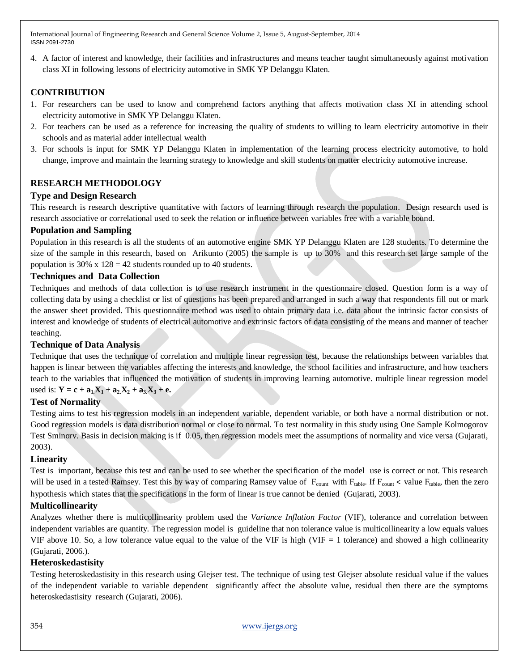4. A factor of interest and knowledge, their facilities and infrastructures and means teacher taught simultaneously against motivation class XI in following lessons of electricity automotive in SMK YP Delanggu Klaten.

## **CONTRIBUTION**

- 1. For researchers can be used to know and comprehend factors anything that affects motivation class XI in attending school electricity automotive in SMK YP Delanggu Klaten.
- 2. For teachers can be used as a reference for increasing the quality of students to willing to learn electricity automotive in their schools and as material adder intellectual wealth
- 3. For schools is input for SMK YP Delanggu Klaten in implementation of the learning process electricity automotive, to hold change, improve and maintain the learning strategy to knowledge and skill students on matter electricity automotive increase.

## **RESEARCH METHODOLOGY**

## **Type and Design Research**

This research is research descriptive quantitative with factors of learning through research the population. Design research used is research associative or correlational used to seek the relation or influence between variables free with a variable bound.

#### **Population and Sampling**

Population in this research is all the students of an automotive engine SMK YP Delanggu Klaten are 128 students. To determine the size of the sample in this research, based on Arikunto (2005) the sample is up to 30% and this research set large sample of the population is  $30\% \times 128 = 42$  students rounded up to 40 students.

#### **Techniques and Data Collection**

Techniques and methods of data collection is to use research instrument in the questionnaire closed. Question form is a way of collecting data by using a checklist or list of questions has been prepared and arranged in such a way that respondents fill out or mark the answer sheet provided. This questionnaire method was used to obtain primary data i.e. data about the intrinsic factor consists of interest and knowledge of students of electrical automotive and extrinsic factors of data consisting of the means and manner of teacher teaching.

## **Technique of Data Analysis**

Technique that uses the technique of correlation and multiple linear regression test, because the relationships between variables that happen is linear between the variables affecting the interests and knowledge, the school facilities and infrastructure, and how teachers teach to the variables that influenced the motivation of students in improving learning automotive. multiple linear regression model used is:  $Y = c + a_1X_1 + a_2X_2 + a_3X_3 + e$ .

## **Test of Normality**

Testing aims to test his regression models in an independent variable, dependent variable, or both have a normal distribution or not. Good regression models is data distribution normal or close to normal. To test normality in this study using One Sample Kolmogorov Test Sminorv. Basis in decision making is if 0.05, then regression models meet the assumptions of normality and vice versa (Gujarati, 2003).

#### **Linearity**

Test is important, because this test and can be used to see whether the specification of the model use is correct or not. This research will be used in a tested Ramsey. Test this by way of comparing Ramsey value of  $F_{count}$  with  $F_{table}$ . If  $F_{count}$  < value  $F_{table}$ , then the zero hypothesis which states that the specifications in the form of linear is true cannot be denied (Gujarati, 2003).

## **Multicollinearity**

Analyzes whether there is multicollinearity problem used the *Variance Inflation Factor* (VIF), tolerance and correlation between independent variables are quantity. The regression model is guideline that non tolerance value is multicollinearity a low equals values VIF above 10. So, a low tolerance value equal to the value of the VIF is high (VIF  $=$  1 tolerance) and showed a high collinearity (Gujarati, 2006.).

#### **Heteroskedastisity**

Testing heteroskedastisity in this research using Glejser test. The technique of using test Glejser absolute residual value if the values of the independent variable to variable dependent significantly affect the absolute value, residual then there are the symptoms heteroskedastisity research (Gujarati, 2006).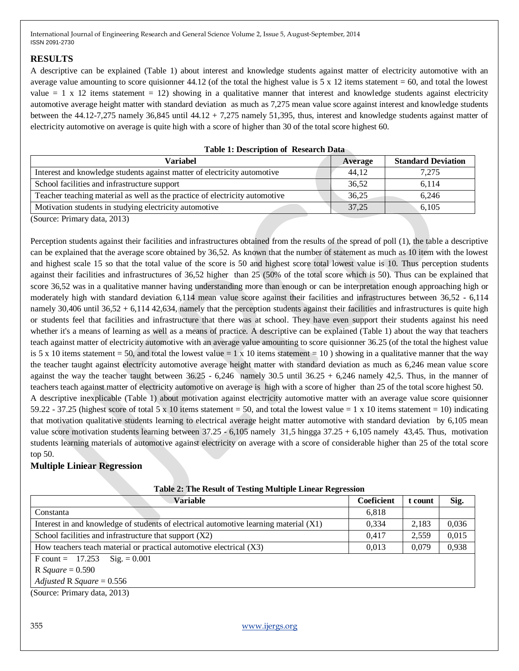## **RESULTS**

A descriptive can be explained (Table 1) about interest and knowledge students against matter of electricity automotive with an average value amounting to score quisionner 44.12 (of the total the highest value is 5 x 12 items statement = 60, and total the lowest value  $= 1 \times 12$  items statement  $= 12$ ) showing in a qualitative manner that interest and knowledge students against electricity automotive average height matter with standard deviation as much as 7,275 mean value score against interest and knowledge students between the 44.12-7,275 namely 36,845 until 44.12 + 7,275 namely 51,395, thus, interest and knowledge students against matter of electricity automotive on average is quite high with a score of higher than 30 of the total score highest 60.

| <b>Variabel</b>                                                             | Average | <b>Standard Deviation</b> |  |  |
|-----------------------------------------------------------------------------|---------|---------------------------|--|--|
| Interest and knowledge students against matter of electricity automotive    | 44.12   | 7.275                     |  |  |
| School facilities and infrastructure support                                | 36,52   | 6.114                     |  |  |
| Teacher teaching material as well as the practice of electricity automotive | 36,25   | 6.246                     |  |  |
| Motivation students in studying electricity automotive                      | 37.25   | 6,105                     |  |  |
| $(0.00000, D_{\text{min}})$                                                 |         |                           |  |  |

**Table 1: Description of Research Data** 

(Source: Primary data, 2013)

Perception students against their facilities and infrastructures obtained from the results of the spread of poll (1), the table a descriptive can be explained that the average score obtained by 36,52. As known that the number of statement as much as 10 item with the lowest and highest scale 15 so that the total value of the score is 50 and highest score total lowest value is 10. Thus perception students against their facilities and infrastructures of 36,52 higher than 25 (50% of the total score which is 50). Thus can be explained that score 36,52 was in a qualitative manner having understanding more than enough or can be interpretation enough approaching high or moderately high with standard deviation 6,114 mean value score against their facilities and infrastructures between 36,52 - 6,114 namely  $30,406$  until  $36,52 + 6,114$   $42,634$ , namely that the perception students against their facilities and infrastructures is quite high or students feel that facilities and infrastructure that there was at school. They have even support their students against his need whether it's a means of learning as well as a means of practice. A descriptive can be explained (Table 1) about the way that teachers teach against matter of electricity automotive with an average value amounting to score quisionner 36.25 (of the total the highest value is 5 x 10 items statement = 50, and total the lowest value = 1 x 10 items statement = 10 ) showing in a qualitative manner that the way the teacher taught against electricity automotive average height matter with standard deviation as much as 6,246 mean value score against the way the teacher taught between  $36.25 - 6,246$  namely  $30.5$  until  $36.25 + 6,246$  namely  $42.5$ . Thus, in the manner of teachers teach against matter of electricity automotive on average is high with a score of higher than 25 of the total score highest 50. A descriptive inexplicable (Table 1) about motivation against electricity automotive matter with an average value score quisionner 59.22 - 37.25 (highest score of total 5 x 10 items statement = 50, and total the lowest value = 1 x 10 items statement = 10) indicating that motivation qualitative students learning to electrical average height matter automotive with standard deviation by 6,105 mean value score motivation students learning between 37.25 - 6,105 namely 31,5 hingga 37.25 + 6,105 namely 43,45. Thus, motivation students learning materials of automotive against electricity on average with a score of considerable higher than 25 of the total score top 50.

# **Multiple Liniear Regression**

| Table 2. The Kesult of Testing Bluttiple Emeat Kegi ession<br><b>Variable</b>         | Coeficient | t count | Sig.  |
|---------------------------------------------------------------------------------------|------------|---------|-------|
| Constanta                                                                             | 6,818      |         |       |
| Interest in and knowledge of students of electrical automotive learning material (X1) | 0,334      | 2,183   | 0,036 |
| School facilities and infrastructure that support $(X2)$                              | 0.417      | 2,559   | 0,015 |
| How teachers teach material or practical automotive electrical (X3)                   | 0,013      | 0,079   | 0,938 |
| F count = $17.253$ Sig. = 0.001                                                       |            |         |       |
| R Square = $0.590$                                                                    |            |         |       |
| Adjusted R Square = $0.556$                                                           |            |         |       |
| (Source: Primary data, 2013)                                                          |            |         |       |
|                                                                                       |            |         |       |

#### **Table 2: The Result of Testing Multiple Linear Regression**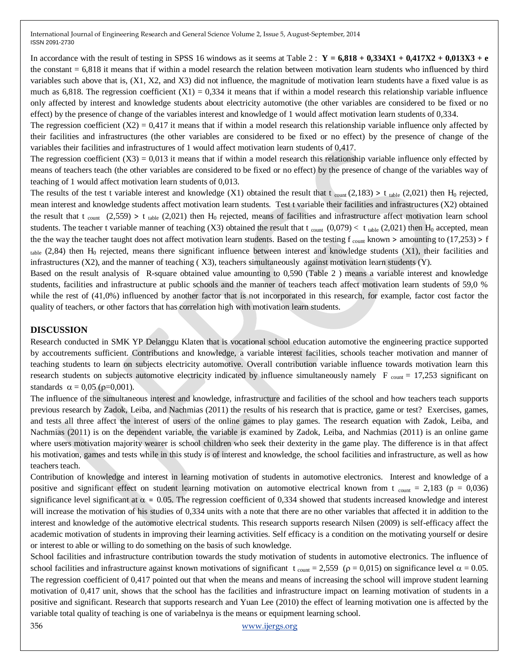In accordance with the result of testing in SPSS 16 windows as it seems at Table 2:  $Y = 6,818 + 0,334X1 + 0,417X2 + 0,013X3 + e$ the constant = 6,818 it means that if within a model research the relation between motivation learn students who influenced by third variables such above that is, (X1, X2, and X3) did not influence, the magnitude of motivation learn students have a fixed value is as much as  $6,818$ . The regression coefficient  $(X1) = 0,334$  it means that if within a model research this relationship variable influence only affected by interest and knowledge students about electricity automotive (the other variables are considered to be fixed or no effect) by the presence of change of the variables interest and knowledge of 1 would affect motivation learn students of 0,334.

The regression coefficient  $(X2) = 0.417$  it means that if within a model research this relationship variable influence only affected by their facilities and infrastructures (the other variables are considered to be fixed or no effect) by the presence of change of the variables their facilities and infrastructures of 1 would affect motivation learn students of 0,417.

The regression coefficient  $(X3) = 0.013$  it means that if within a model research this relationship variable influence only effected by means of teachers teach (the other variables are considered to be fixed or no effect) by the presence of change of the variables way of teaching of 1 would affect motivation learn students of 0,013.

The results of the test t variable interest and knowledge (X1) obtained the result that t  $_{\text{count}}(2,183) > t_{\text{table}}(2,021)$  then H<sub>0</sub> rejected, mean interest and knowledge students affect motivation learn students. Test t variable their facilities and infrastructures (X2) obtained the result that t count  $(2,559)$  > t table  $(2,021)$  then H<sub>0</sub> rejected, means of facilities and infrastructure affect motivation learn school students. The teacher t variable manner of teaching (X3) obtained the result that t  $_{\text{count}}$  (0,079) < t  $_{\text{table}}$  (2,021) then H<sub>0</sub> accepted, mean the the way the teacher taught does not affect motivation learn students. Based on the testing  $f_{\text{count}}$  known > amounting to (17,253) > f  $_{\text{table}}$  (2,84) then H<sub>0</sub> rejected, means there significant influence between interest and knowledge students (X1), their facilities and infrastructures (X2), and the manner of teaching ( X3), teachers simultaneously against motivation learn students (Y).

Based on the result analysis of R-square obtained value amounting to 0,590 (Table 2 ) means a variable interest and knowledge students, facilities and infrastructure at public schools and the manner of teachers teach affect motivation learn students of 59,0 % while the rest of (41,0%) influenced by another factor that is not incorporated in this research, for example, factor cost factor the quality of teachers, or other factors that has correlation high with motivation learn students.

#### **DISCUSSION**

Research conducted in SMK YP Delanggu Klaten that is vocational school education automotive the engineering practice supported by accoutrements sufficient. Contributions and knowledge, a variable interest facilities, schools teacher motivation and manner of teaching students to learn on subjects electricity automotive. Overall contribution variable influence towards motivation learn this research students on subjects automotive electricity indicated by influence simultaneously namely  $F_{\text{count}} = 17,253$  significant on standards  $\alpha = 0.05$  ( $\rho = 0.001$ ).

The influence of the simultaneous interest and knowledge, infrastructure and facilities of the school and how teachers teach supports previous research by Zadok, Leiba, and Nachmias (2011) the results of his research that is practice, game or test? Exercises, games, and tests all three affect the interest of users of the online games to play games. The research equation with Zadok, Leiba, and Nachmias (2011) is on the dependent variable, the variable is examined by Zadok, Leiba, and Nachmias (2011) is an online game where users motivation majority wearer is school children who seek their dexterity in the game play. The difference is in that affect his motivation, games and tests while in this study is of interest and knowledge, the school facilities and infrastructure, as well as how teachers teach.

Contribution of knowledge and interest in learning motivation of students in automotive electronics. Interest and knowledge of a positive and significant effect on student learning motivation on automotive electrical known from t  $_{\text{count}} = 2.183$  (p = 0,036) significance level significant at  $\alpha = 0.05$ . The regression coefficient of 0.334 showed that students increased knowledge and interest will increase the motivation of his studies of 0,334 units with a note that there are no other variables that affected it in addition to the interest and knowledge of the automotive electrical students. This research supports research Nilsen (2009) is self-efficacy affect the academic motivation of students in improving their learning activities. Self efficacy is a condition on the motivating yourself or desire or interest to able or willing to do something on the basis of such knowledge.

School facilities and infrastructure contribution towards the study motivation of students in automotive electronics. The influence of school facilities and infrastructure against known motivations of significant  $t_{\text{count}} = 2{,}559$  ( $\rho = 0{,}015$ ) on significance level  $\alpha = 0.05$ . The regression coefficient of 0,417 pointed out that when the means and means of increasing the school will improve student learning motivation of 0,417 unit, shows that the school has the facilities and infrastructure impact on learning motivation of students in a positive and significant. Research that supports research and Yuan Lee (2010) the effect of learning motivation one is affected by the variable total quality of teaching is one of variabelnya is the means or equipment learning school.

356 [www.ijergs.org](http://www.ijergs.org/)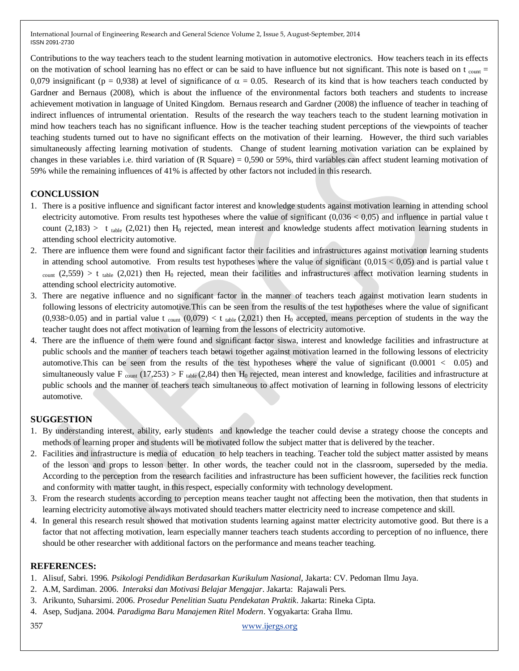Contributions to the way teachers teach to the student learning motivation in automotive electronics. How teachers teach in its effects on the motivation of school learning has no effect or can be said to have influence but not significant. This note is based on t  $_{\text{count}} =$ 0,079 insignificant (p = 0,938) at level of significance of  $\alpha$  = 0.05. Research of its kind that is how teachers teach conducted by Gardner and Bernaus (2008), which is about the influence of the environmental factors both teachers and students to increase achievement motivation in language of United Kingdom. Bernaus research and Gardner (2008) the influence of teacher in teaching of indirect influences of intrumental orientation. Results of the research the way teachers teach to the student learning motivation in mind how teachers teach has no significant influence. How is the teacher teaching student perceptions of the viewpoints of teacher teaching students turned out to have no significant effects on the motivation of their learning. However, the third such variables simultaneously affecting learning motivation of students. Change of student learning motivation variation can be explained by changes in these variables i.e. third variation of (R Square) = 0,590 or 59%, third variables can affect student learning motivation of 59% while the remaining influences of 41% is affected by other factors not included in this research.

## **CONCLUSSION**

- 1. There is a positive influence and significant factor interest and knowledge students against motivation learning in attending school electricity automotive. From results test hypotheses where the value of significant  $(0,036 < 0,05)$  and influence in partial value t count (2,183) > t table (2,021) then H<sub>0</sub> rejected, mean interest and knowledge students affect motivation learning students in attending school electricity automotive.
- 2. There are influence them were found and significant factor their facilities and infrastructures against motivation learning students in attending school automotive. From results test hypotheses where the value of significant  $(0,015 < 0,05)$  and is partial value t  $_{\text{count}}$  (2,559) > t table (2,021) then H<sub>0</sub> rejected, mean their facilities and infrastructures affect motivation learning students in attending school electricity automotive.
- 3. There are negative influence and no significant factor in the manner of teachers teach against motivation learn students in following lessons of electricity automotive.This can be seen from the results of the test hypotheses where the value of significant  $(0.938>0.05)$  and in partial value t count  $(0.079) < t$  table  $(2.021)$  then H<sub>0</sub> accepted, means perception of students in the way the teacher taught does not affect motivation of learning from the lessons of electricity automotive.
- 4. There are the influence of them were found and significant factor siswa, interest and knowledge facilities and infrastructure at public schools and the manner of teachers teach betawi together against motivation learned in the following lessons of electricity automotive. This can be seen from the results of the test hypotheses where the value of significant  $(0.0001 < 0.05)$  and simultaneously value F  $_{\text{count}}$  (17,253) > F  $_{\text{table}}$  (2,84) then H<sub>0</sub> rejected, mean interest and knowledge, facilities and infrastructure at public schools and the manner of teachers teach simultaneous to affect motivation of learning in following lessons of electricity automotive.

## **SUGGESTION**

- 1. By understanding interest, ability, early students and knowledge the teacher could devise a strategy choose the concepts and methods of learning proper and students will be motivated follow the subject matter that is delivered by the teacher.
- 2. Facilities and infrastructure is media of education to help teachers in teaching. Teacher told the subject matter assisted by means of the lesson and props to lesson better. In other words, the teacher could not in the classroom, superseded by the media. According to the perception from the research facilities and infrastructure has been sufficient however, the facilities reck function and conformity with matter taught, in this respect, especially conformity with technology development.
- 3. From the research students according to perception means teacher taught not affecting been the motivation, then that students in learning electricity automotive always motivated should teachers matter electricity need to increase competence and skill.
- 4. In general this research result showed that motivation students learning against matter electricity automotive good. But there is a factor that not affecting motivation, learn especially manner teachers teach students according to perception of no influence, there should be other researcher with additional factors on the performance and means teacher teaching.

#### **REFERENCES:**

- 1. Alisuf, Sabri. 1996. *Psikologi Pendidikan Berdasarkan Kurikulum Nasional*, Jakarta: CV. Pedoman Ilmu Jaya.
- 2. A.M, Sardiman. 2006. *Interaksi dan Motivasi Belajar Mengajar*. Jakarta: Rajawali Pers.
- 3. Arikunto, Suharsimi. 2006. *Prosedur Penelitian Suatu Pendekatan Praktik*. Jakarta: Rineka Cipta.
- 4. Asep, Sudjana. 2004. *Paradigma Baru Manajemen Ritel Modern*. Yogyakarta: Graha.Ilmu.

357 [www.ijergs.org](http://www.ijergs.org/)